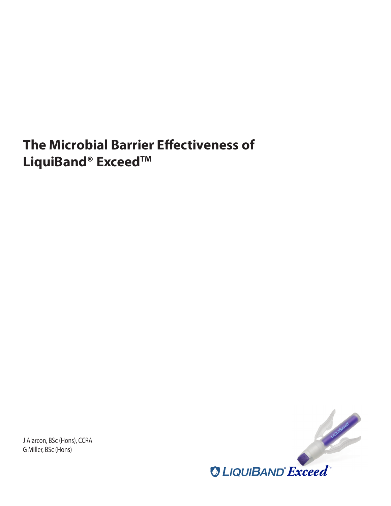# **The Microbial Barrier Effectiveness of**  LiquiBand<sup>®</sup> Exceed™

J Alarcon, BSc (Hons), CCRA G Miller, BSc (Hons)

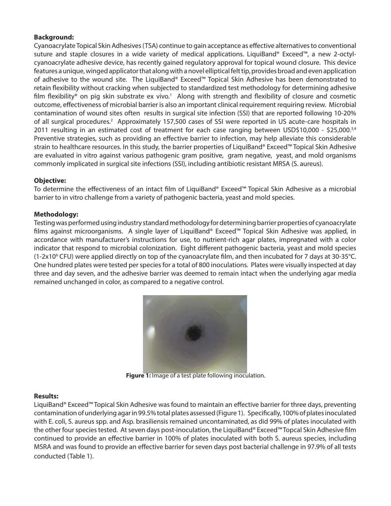## **Background:**

Cyanoacrylate Topical Skin Adhesives (TSA) continue to gain acceptance as effective alternatives to conventional suture and staple closures in a wide variety of medical applications. LiquiBand® Exceed™, a new 2-octylcyanoacrylate adhesive device, has recently gained regulatory approval for topical wound closure. This device features a unique, winged applicator that along with a novel elliptical felt tip, provides broad and even application of adhesive to the wound site. The LiquiBand® Exceed™ Topical Skin Adhesive has been demonstrated to retain flexibility without cracking when subjected to standardized test methodology for determining adhesive film flexibility\* on pig skin substrate ex vivo.<sup>1</sup> Along with strength and flexibility of closure and cosmetic outcome, effectiveness of microbial barrier is also an important clinical requirement requiring review. Microbial contamination of wound sites often results in surgical site infection (SSI) that are reported following 10-20% of all surgical procedures.<sup>2</sup> Approximately 157,500 cases of SSI were reported in US acute-care hospitals in 2011 resulting in an estimated cost of treatment for each case ranging between USD\$10,000 - \$25,000. $34$ Preventive strategies, such as providing an effective barrier to infection, may help alleviate this considerable strain to healthcare resources. In this study, the barrier properties of LiquiBand® Exceed™ Topical Skin Adhesive are evaluated in vitro against various pathogenic gram positive, gram negative, yeast, and mold organisms commonly implicated in surgical site infections (SSI), including antibiotic resistant MRSA (S. aureus).

## **Objective:**

To determine the effectiveness of an intact film of LiquiBand® Exceed™ Topical Skin Adhesive as a microbial barrier to in vitro challenge from a variety of pathogenic bacteria, yeast and mold species.

## **Methodology:**

Testing was performed using industry standard methodology for determining barrier properties of cyanoacrylate films against microorganisms. A single layer of LiquiBand® Exceed™ Topical Skin Adhesive was applied, in accordance with manufacturer's instructions for use, to nutrient-rich agar plates, impregnated with a color indicator that respond to microbial colonization. Eight different pathogenic bacteria, yeast and mold species  $(1-2x10^6$  CFU) were applied directly on top of the cyanoacrylate film, and then incubated for 7 days at 30-35°C. One hundred plates were tested per species for a total of 800 inoculations. Plates were visually inspected at day three and day seven, and the adhesive barrier was deemed to remain intact when the underlying agar media remained unchanged in color, as compared to a negative control.



**Figure 1:** Image of a test plate following inoculation.

#### **Results:**

LiquiBand® Exceed™ Topical Skin Adhesive was found to maintain an effective barrier for three days, preventing contamination of underlying agar in 99.5% total plates assessed (Figure 1). Specifically, 100% of plates inoculated with E. coli, S. aureus spp. and Asp. brasiliensis remained uncontaminated, as did 99% of plates inoculated with the other four species tested. At seven days post-inoculation, the LiquiBand® Exceed™ Topcal Skin Adhesive film continued to provide an effective barrier in 100% of plates inoculated with both S. aureus species, including MSRA and was found to provide an effective barrier for seven days post bacterial challenge in 97.9% of all tests conducted (Table 1).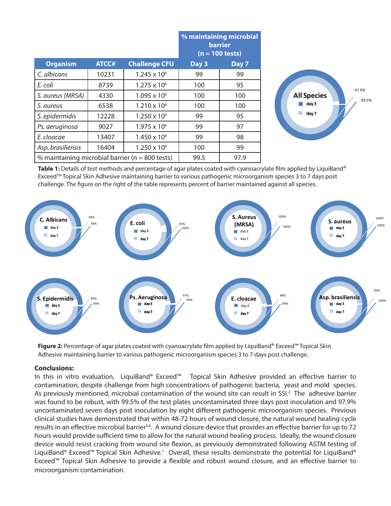|                                                    |              |                      | % maintaining microbial<br><b>barrier</b><br>$(n = 100 \text{ tests})$ |       |
|----------------------------------------------------|--------------|----------------------|------------------------------------------------------------------------|-------|
| <b>Organism</b>                                    | <b>ATCC#</b> | <b>Challenge CFU</b> | Day 3                                                                  | Day 7 |
| C. albicans                                        | 10231        | $1.245 \times 10^6$  | 99                                                                     | 99    |
| E. coli                                            | 8739         | $1.275 \times 10^6$  | 100                                                                    | 95    |
| S. aureus (MRSA)                                   | 4330         | $1.095 \times 10^6$  | 100                                                                    | 100   |
| S. aureus                                          | 6538         | $1.210 \times 10^6$  | 100                                                                    | 100   |
| S. epidermidis                                     | 12228        | $1.250 \times 10^6$  | 99                                                                     | 95    |
| Ps. aeruginosa                                     | 9027         | $1.975 \times 10^6$  | 99                                                                     | 97    |
| E. cloacae                                         | 13407        | $1.450 \times 10^6$  | 99                                                                     | 98    |
| Asp. brasiliensis                                  | 16404        | $1.250 \times 10^6$  | 100                                                                    | 99    |
| % maintaining microbial barrier ( $n = 800$ tests) |              |                      | 99.5                                                                   | 97.9  |



Table 1: Details of test methods and percentage of agar plates coated with cyanoacrylate film applied by LiquiBand® ExceedTM Topical Skin Adhesive maintaining barrier to various pathogenic microorganism species 3 to 7 days post challenge. The figure on the right of the table represents percent of barrier maintained against all species.



**Figure 2:** Percentage of agar plates coated with cyanoacrylate film applied by LiquiBand® Exceed™ Topical Skin Adhesive maintaining barrier to various pathogenic microorganism species 3 to 7 days post challenge.

#### **Conclusions:**

In this in vitro evaluation, LiquiBand® Exceed™ Topical Skin Adhesive provided an effective barrier to contamination, despite challenge from high concentrations of pathogenic bacteria, yeast and mold species. As previously mentioned, microbial contamination of the wound site can result in SSI.<sup>2</sup> The adhesive barrier was found to be robust, with 99.5% of the test plates uncontaminated three days post inoculation and 97.9% uncontaminated seven days post inoculation by eight different pathogenic microorganism species. Previous clinical studies have demonstrated that within 48-72 hours of wound closure, the natural wound healing cycle results in an effective microbial barrier<sup>5,6</sup>. A wound closure device that provides an effective barrier for up to 72 hours would provide sufficient time to allow for the natural wound healing process. Ideally, the wound closure device would resist cracking from wound site flexion, as previously demonstrated following ASTM testing of LiquiBand® Exceed™ Topical Skin Adhesive.<sup>1</sup> Overall, these results demonstrate the potential for LiquiBand® Exceed™ Topical Skin Adhesive to provide a flexible and robust wound closure, and an effective barrier to microorganism contamination.